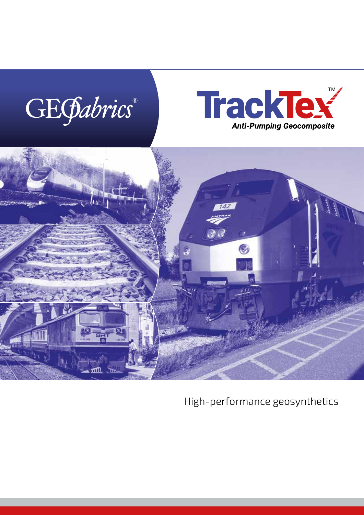## GEGabrics®





High-performance geosynthetics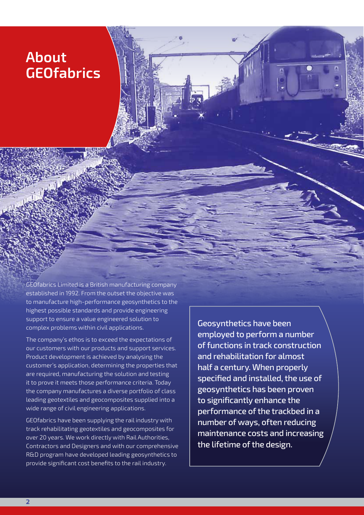## **About GEOfabrics**

GEOfabrics Limited is a British manufacturing company established in 1992. From the outset the objective was to manufacture high-performance geosynthetics to the highest possible standards and provide engineering support to ensure a value engineered solution to complex problems within civil applications.

The company's ethos is to exceed the expectations of our customers with our products and support services. Product development is achieved by analysing the customer's application, determining the properties that are required, manufacturing the solution and testing it to prove it meets those performance criteria. Today the company manufactures a diverse portfolio of class leading geotextiles and geocomposites supplied into a wide range of civil engineering applications.

GEOfabrics have been supplying the rail industry with track rehabilitating geotextiles and geocomposites for over 20 years. We work directly with Rail Authorities, Contractors and Designers and with our comprehensive R&D program have developed leading geosynthetics to provide significant cost benefits to the rail industry.

Geosynthetics have been employed to perform a number of functions in track construction and rehabilitation for almost half a century. When properly specified and installed, the use of geosynthetics has been proven to significantly enhance the performance of the trackbed in a number of ways, often reducing maintenance costs and increasing the lifetime of the design.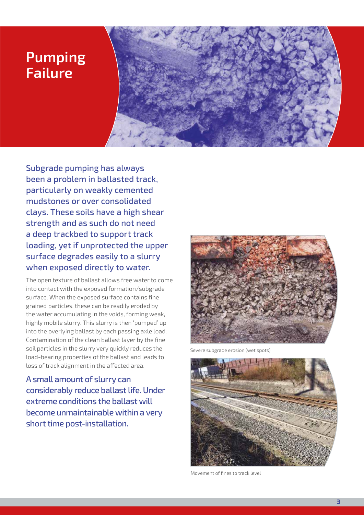#### **Pumping Failure**



Subgrade pumping has always been a problem in ballasted track, particularly on weakly cemented mudstones or over consolidated clays. These soils have a high shear strength and as such do not need a deep trackbed to support track loading, yet if unprotected the upper surface degrades easily to a slurry when exposed directly to water.

The open texture of ballast allows free water to come into contact with the exposed formation/subgrade surface. When the exposed surface contains fine grained particles, these can be readily eroded by the water accumulating in the voids, forming weak, highly mobile slurry. This slurry is then 'pumped' up into the overlying ballast by each passing axle load. Contamination of the clean ballast layer by the fine soil particles in the slurry very quickly reduces the load-bearing properties of the ballast and leads to loss of track alignment in the affected area.

A small amount of slurry can considerably reduce ballast life. Under extreme conditions the ballast will become unmaintainable within a very short time post-installation.



Severe subgrade erosion (wet spots)



Movement of fines to track level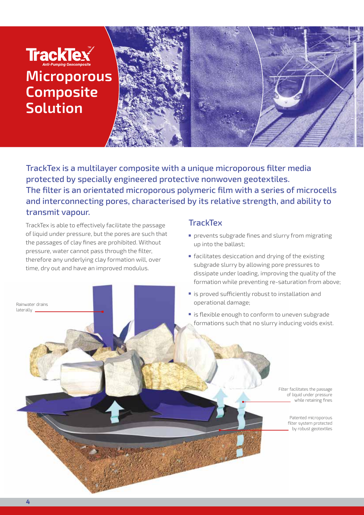## TrackTex **Microporous Composite Solution**



TrackTex is a multilayer composite with a unique microporous filter media protected by specially engineered protective nonwoven geotextiles. The filter is an orientated microporous polymeric film with a series of microcells and interconnecting pores, characterised by its relative strength, and ability to transmit vapour.

TrackTex is able to effectively facilitate the passage of liquid under pressure, but the pores are such that the passages of clay fines are prohibited. Without pressure, water cannot pass through the filter, therefore any underlying clay formation will, over time, dry out and have an improved modulus.

#### **TrackTex**

- prevents subgrade fines and slurry from migrating up into the ballast;
- facilitates desiccation and drying of the existing subgrade slurry by allowing pore pressures to dissipate under loading, improving the quality of the formation while preventing re-saturation from above;
- is proved sufficiently robust to installation and operational damage;
- is flexible enough to conform to uneven subgrade formations such that no slurry inducing voids exist.

Filter facilitates the passage of liquid under pressure while retaining fines

> Patented microporous filter system protected by robust geotextiles

Rainwater drains laterally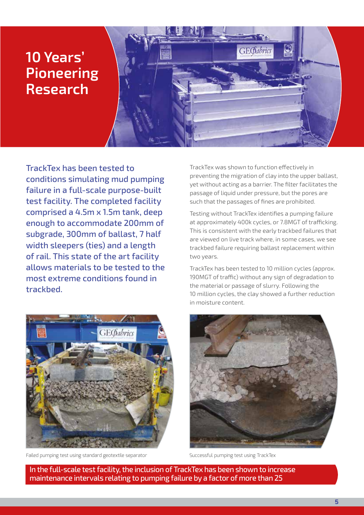### **10 Years' Pioneering Research**



TrackTex has been tested to conditions simulating mud pumping failure in a full-scale purpose-built test facility. The completed facility comprised a 4.5m x 1.5m tank, deep enough to accommodate 200mm of subgrade, 300mm of ballast, 7 half width sleepers (ties) and a length of rail. This state of the art facility allows materials to be tested to the most extreme conditions found in trackbed.



Failed pumping test using standard geotextile separator Successful pumping test using TrackTex

TrackTex was shown to function effectively in preventing the migration of clay into the upper ballast, yet without acting as a barrier. The filter facilitates the passage of liquid under pressure, but the pores are such that the passages of fines are prohibited.

Testing without TrackTex identifies a pumping failure at approximately 400k cycles, or 7.8MGT of trafficking. This is consistent with the early trackbed failures that are viewed on live track where, in some cases, we see trackbed failure requiring ballast replacement within two years.

TrackTex has been tested to 10 million cycles (approx. 190MGT of traffic) without any sign of degradation to the material or passage of slurry. Following the 10 million cycles, the clay showed a further reduction in moisture content.



In the full-scale test facility, the inclusion of TrackTex has been shown to increase maintenance intervals relating to pumping failure by a factor of more than 25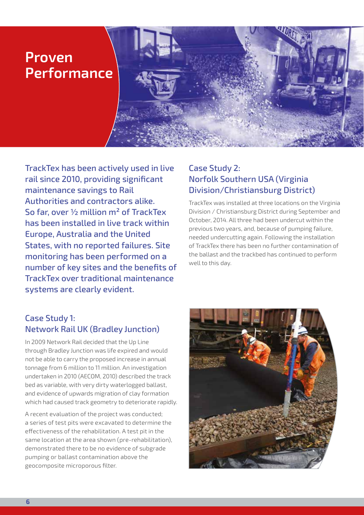#### **Proven Performance**

TrackTex has been actively used in live rail since 2010, providing significant maintenance savings to Rail Authorities and contractors alike. So far, over ½ million m² of TrackTex has been installed in live track within Europe, Australia and the United States, with no reported failures. Site monitoring has been performed on a number of key sites and the benefits of TrackTex over traditional maintenance systems are clearly evident.

#### Case Study 2: Norfolk Southern USA (Virginia Division/Christiansburg District)

TrackTex was installed at three locations on the Virginia Division / Christiansburg District during September and October, 2014. All three had been undercut within the previous two years, and, because of pumping failure, needed undercutting again. Following the installation of TrackTex there has been no further contamination of the ballast and the trackbed has continued to perform well to this day.

#### Case Study 1: Network Rail UK (Bradley Junction)

In 2009 Network Rail decided that the Up Line through Bradley Junction was life expired and would not be able to carry the proposed increase in annual tonnage from 6 million to 11 million. An investigation undertaken in 2010 (AECOM, 2010) described the track bed as variable, with very dirty waterlogged ballast, and evidence of upwards migration of clay formation which had caused track geometry to deteriorate rapidly.

A recent evaluation of the project was conducted; a series of test pits were excavated to determine the effectiveness of the rehabilitation. A test pit in the same location at the area shown (pre-rehabilitation), demonstrated there to be no evidence of subgrade pumping or ballast contamination above the geocomposite microporous filter.

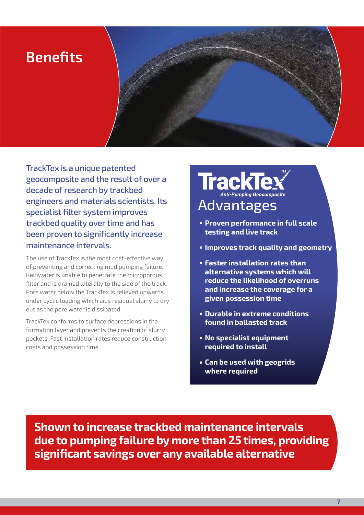### **Benefits**

TrackTex is a unique patented geocomposite and the result of over a decade of research by trackbed engineers and materials scientists. Its specialist filter system improves trackbed quality over time and has been proven to significantly increase maintenance intervals.

The use of TrackTex is the most cost-effective way of preventing and correcting mud pumping failure. Rainwater is unable to penetrate the microporous filter and is drained laterally to the side of the track. Pore water below the TrackTex is relieved upwards under cyclic loading which aids residual slurry to dry out as the pore water is dissipated.

TrackTex conforms to surface depressions in the formation layer and prevents the creation of slurry pockets. Fast installation rates reduce construction costs and possession time.

# TrackTex

- **Proven performance in full scale testing and live track**
- **Improves track quality and geometry**
- **Faster installation rates than alternative systems which will reduce the likelihood of overruns and increase the coverage for a given possession time**
- **Durable in extreme conditions found in ballasted track**
- **No specialist equipment required to install**
- **Can be used with geogrids where required**

**Shown to increase trackbed maintenance intervals due to pumping failure by more than 25 times, providing significant savings over any available alternative**